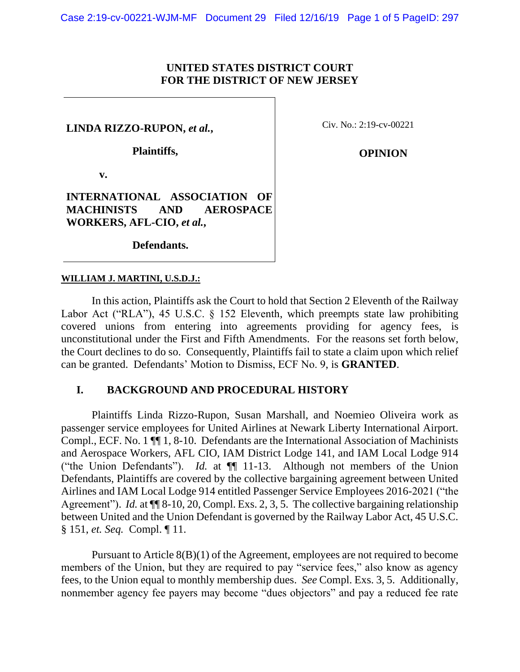#### **UNITED STATES DISTRICT COURT FOR THE DISTRICT OF NEW JERSEY**

**LINDA RIZZO-RUPON,** *et al.***,**

 **Plaintiffs,**

Civ. No.: 2:19-cv-00221

**OPINION**

 **v.**

**INTERNATIONAL ASSOCIATION OF MACHINISTS AND AEROSPACE WORKERS, AFL-CIO,** *et al.***,**

 **Defendants.**

#### **WILLIAM J. MARTINI, U.S.D.J.:**

In this action, Plaintiffs ask the Court to hold that Section 2 Eleventh of the Railway Labor Act ("RLA"), 45 U.S.C. § 152 Eleventh, which preempts state law prohibiting covered unions from entering into agreements providing for agency fees, is unconstitutional under the First and Fifth Amendments. For the reasons set forth below, the Court declines to do so. Consequently, Plaintiffs fail to state a claim upon which relief can be granted. Defendants' Motion to Dismiss, ECF No. 9, is **GRANTED**.

#### **I. BACKGROUND AND PROCEDURAL HISTORY**

Plaintiffs Linda Rizzo-Rupon, Susan Marshall, and Noemieo Oliveira work as passenger service employees for United Airlines at Newark Liberty International Airport. Compl., ECF. No. 1 ¶¶ 1, 8-10. Defendants are the International Association of Machinists and Aerospace Workers, AFL CIO, IAM District Lodge 141, and IAM Local Lodge 914 ("the Union Defendants"). *Id.* at ¶¶ 11-13. Although not members of the Union Defendants, Plaintiffs are covered by the collective bargaining agreement between United Airlines and IAM Local Lodge 914 entitled Passenger Service Employees 2016-2021 ("the Agreement"). *Id.* at  $\P$  8-10, 20, Compl. Exs. 2, 3, 5. The collective bargaining relationship between United and the Union Defendant is governed by the Railway Labor Act, 45 U.S.C. § 151, *et. Seq.* Compl. ¶ 11.

Pursuant to Article 8(B)(1) of the Agreement, employees are not required to become members of the Union, but they are required to pay "service fees," also know as agency fees, to the Union equal to monthly membership dues. *See* Compl. Exs. 3, 5. Additionally, nonmember agency fee payers may become "dues objectors" and pay a reduced fee rate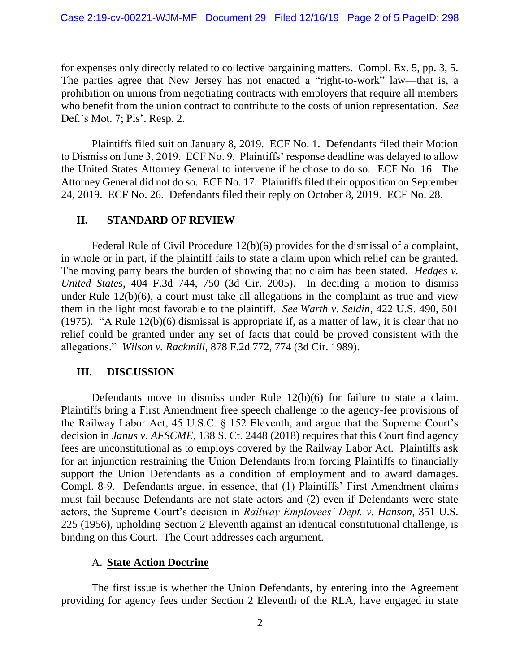for expenses only directly related to collective bargaining matters. Compl. Ex. 5, pp. 3, 5. The parties agree that New Jersey has not enacted a "right-to-work" law—that is, a prohibition on unions from negotiating contracts with employers that require all members who benefit from the union contract to contribute to the costs of union representation. *See* Def.'s Mot. 7; Pls'. Resp. 2.

Plaintiffs filed suit on January 8, 2019. ECF No. 1. Defendants filed their Motion to Dismiss on June 3, 2019. ECF No. 9. Plaintiffs' response deadline was delayed to allow the United States Attorney General to intervene if he chose to do so. ECF No. 16. The Attorney General did not do so. ECF No. 17. Plaintiffs filed their opposition on September 24, 2019. ECF No. 26. Defendants filed their reply on October 8, 2019. ECF No. 28.

# **II. STANDARD OF REVIEW**

Federal Rule of Civil Procedure 12(b)(6) provides for the dismissal of a complaint, in whole or in part, if the plaintiff fails to state a claim upon which relief can be granted. The moving party bears the burden of showing that no claim has been stated. *Hedges v. United States*, 404 F.3d 744, 750 (3d Cir. 2005). In deciding a motion to dismiss under Rule 12(b)(6), a court must take all allegations in the complaint as true and view them in the light most favorable to the plaintiff. *See Warth v. Seldin*, 422 U.S. 490, 501 (1975). "A Rule 12(b)(6) dismissal is appropriate if, as a matter of law, it is clear that no relief could be granted under any set of facts that could be proved consistent with the allegations." *Wilson v. Rackmill*, 878 F.2d 772, 774 (3d Cir. 1989).

# **III. DISCUSSION**

Defendants move to dismiss under Rule 12(b)(6) for failure to state a claim. Plaintiffs bring a First Amendment free speech challenge to the agency-fee provisions of the Railway Labor Act, 45 U.S.C. § 152 Eleventh, and argue that the Supreme Court's decision in *Janus v. AFSCME*, 138 S. Ct. 2448 (2018) requires that this Court find agency fees are unconstitutional as to employs covered by the Railway Labor Act. Plaintiffs ask for an injunction restraining the Union Defendants from forcing Plaintiffs to financially support the Union Defendants as a condition of employment and to award damages. Compl. 8-9. Defendants argue, in essence, that (1) Plaintiffs' First Amendment claims must fail because Defendants are not state actors and (2) even if Defendants were state actors, the Supreme Court's decision in *Railway Employees' Dept. v. Hanson*, 351 U.S. 225 (1956), upholding Section 2 Eleventh against an identical constitutional challenge, is binding on this Court. The Court addresses each argument.

# A. **State Action Doctrine**

The first issue is whether the Union Defendants, by entering into the Agreement providing for agency fees under Section 2 Eleventh of the RLA, have engaged in state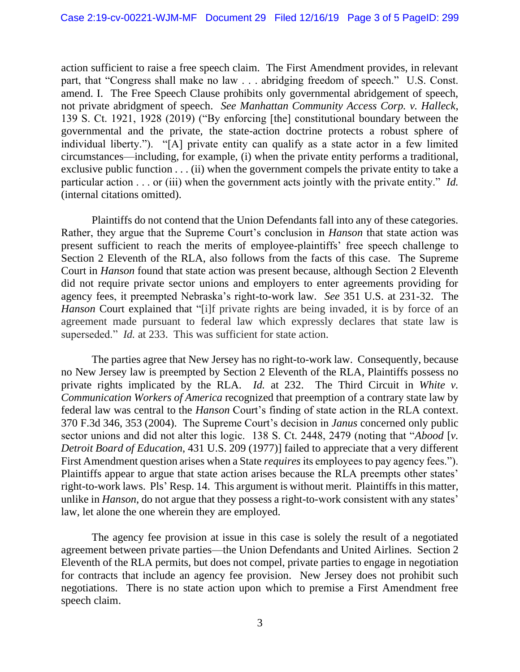action sufficient to raise a free speech claim. The First Amendment provides, in relevant part, that "Congress shall make no law . . . abridging freedom of speech." U.S. Const. amend. I. The Free Speech Clause prohibits only governmental abridgement of speech, not private abridgment of speech. *See Manhattan Community Access Corp. v. Halleck*, 139 S. Ct. 1921, 1928 (2019) ("By enforcing [the] constitutional boundary between the governmental and the private, the state-action doctrine protects a robust sphere of individual liberty."). "[A] private entity can qualify as a state actor in a few limited circumstances—including, for example, (i) when the private entity performs a traditional, exclusive public function  $\dots$  (ii) when the government compels the private entity to take a particular action . . . or (iii) when the government acts jointly with the private entity." *Id.* (internal citations omitted).

Plaintiffs do not contend that the Union Defendants fall into any of these categories. Rather, they argue that the Supreme Court's conclusion in *Hanson* that state action was present sufficient to reach the merits of employee-plaintiffs' free speech challenge to Section 2 Eleventh of the RLA, also follows from the facts of this case. The Supreme Court in *Hanson* found that state action was present because, although Section 2 Eleventh did not require private sector unions and employers to enter agreements providing for agency fees, it preempted Nebraska's right-to-work law. *See* 351 U.S. at 231-32. The *Hanson* Court explained that "[i]f private rights are being invaded, it is by force of an agreement made pursuant to federal law which expressly declares that state law is superseded." *Id.* at 233. This was sufficient for state action.

The parties agree that New Jersey has no right-to-work law. Consequently, because no New Jersey law is preempted by Section 2 Eleventh of the RLA, Plaintiffs possess no private rights implicated by the RLA. *Id.* at 232. The Third Circuit in *White v. Communication Workers of America* recognized that preemption of a contrary state law by federal law was central to the *Hanson* Court's finding of state action in the RLA context. 370 F.3d 346, 353 (2004). The Supreme Court's decision in *Janus* concerned only public sector unions and did not alter this logic. 138 S. Ct. 2448, 2479 (noting that "*Abood* [*v. Detroit Board of Education*, 431 U.S. 209 (1977)] failed to appreciate that a very different First Amendment question arises when a State *requires* its employees to pay agency fees."). Plaintiffs appear to argue that state action arises because the RLA preempts other states' right-to-work laws. Pls' Resp. 14. This argument is without merit. Plaintiffs in this matter, unlike in *Hanson*, do not argue that they possess a right-to-work consistent with any states' law, let alone the one wherein they are employed.

The agency fee provision at issue in this case is solely the result of a negotiated agreement between private parties—the Union Defendants and United Airlines. Section 2 Eleventh of the RLA permits, but does not compel, private parties to engage in negotiation for contracts that include an agency fee provision. New Jersey does not prohibit such negotiations. There is no state action upon which to premise a First Amendment free speech claim.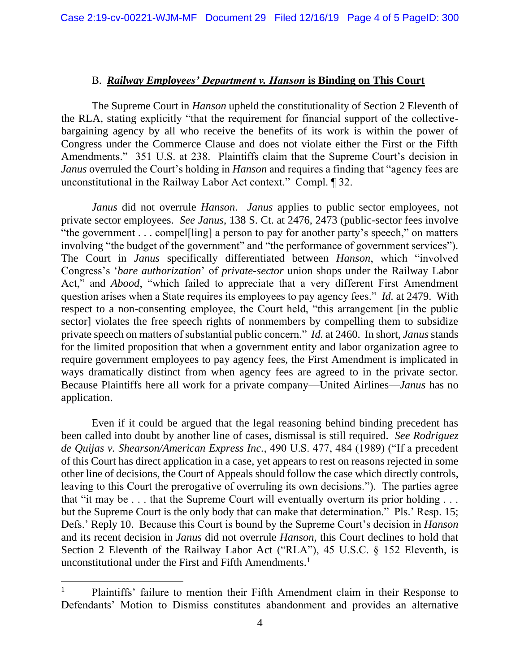#### B. *Railway Employees' Department v. Hanson* **is Binding on This Court**

The Supreme Court in *Hanson* upheld the constitutionality of Section 2 Eleventh of the RLA, stating explicitly "that the requirement for financial support of the collectivebargaining agency by all who receive the benefits of its work is within the power of Congress under the Commerce Clause and does not violate either the First or the Fifth Amendments." 351 U.S. at 238. Plaintiffs claim that the Supreme Court's decision in *Janus* overruled the Court's holding in *Hanson* and requires a finding that "agency fees are unconstitutional in the Railway Labor Act context." Compl. ¶ 32.

*Janus* did not overrule *Hanson*. *Janus* applies to public sector employees, not private sector employees. *See Janus*, 138 S. Ct. at 2476, 2473 (public-sector fees involve "the government . . . compel[ling] a person to pay for another party's speech," on matters involving "the budget of the government" and "the performance of government services"). The Court in *Janus* specifically differentiated between *Hanson*, which "involved Congress's '*bare authorization*' of *private-sector* union shops under the Railway Labor Act," and *Abood*, "which failed to appreciate that a very different First Amendment question arises when a State requires its employees to pay agency fees." *Id.* at 2479. With respect to a non-consenting employee, the Court held, "this arrangement [in the public sector] violates the free speech rights of nonmembers by compelling them to subsidize private speech on matters of substantial public concern." *Id.* at 2460. In short, *Janus* stands for the limited proposition that when a government entity and labor organization agree to require government employees to pay agency fees, the First Amendment is implicated in ways dramatically distinct from when agency fees are agreed to in the private sector. Because Plaintiffs here all work for a private company—United Airlines—*Janus* has no application.

Even if it could be argued that the legal reasoning behind binding precedent has been called into doubt by another line of cases, dismissal is still required. *See Rodriguez de Quijas v. Shearson/American Express Inc.*, 490 U.S. 477, 484 (1989) ("If a precedent of this Court has direct application in a case, yet appears to rest on reasons rejected in some other line of decisions, the Court of Appeals should follow the case which directly controls, leaving to this Court the prerogative of overruling its own decisions."). The parties agree that "it may be . . . that the Supreme Court will eventually overturn its prior holding . . . but the Supreme Court is the only body that can make that determination." Pls.' Resp. 15; Defs.' Reply 10. Because this Court is bound by the Supreme Court's decision in *Hanson* and its recent decision in *Janus* did not overrule *Hanson*, this Court declines to hold that Section 2 Eleventh of the Railway Labor Act ("RLA"), 45 U.S.C. § 152 Eleventh, is unconstitutional under the First and Fifth Amendments. 1

<sup>&</sup>lt;sup>1</sup> Plaintiffs' failure to mention their Fifth Amendment claim in their Response to Defendants' Motion to Dismiss constitutes abandonment and provides an alternative